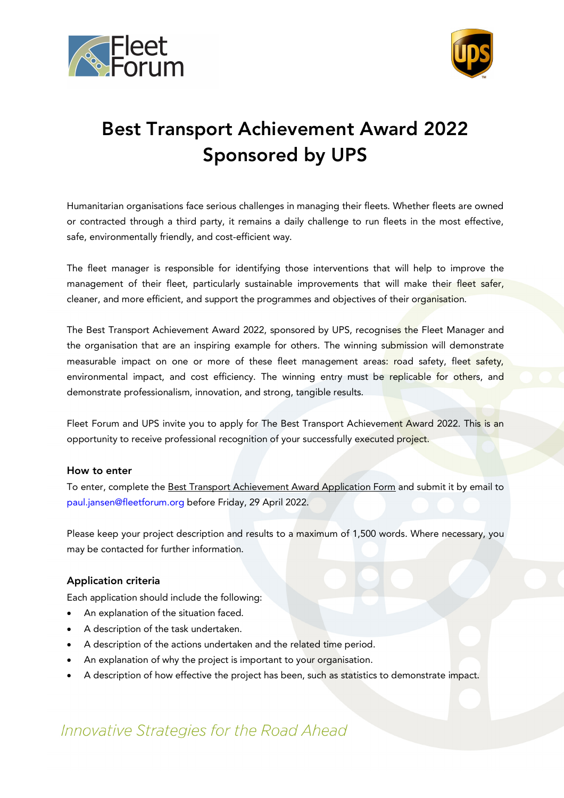



# Best Transport Achievement Award 2022 Sponsored by UPS

Humanitarian organisations face serious challenges in managing their fleets. Whether fleets are owned or contracted through a third party, it remains a daily challenge to run fleets in the most effective, safe, environmentally friendly, and cost-efficient way.

The fleet manager is responsible for identifying those interventions that will help to improve the management of their fleet, particularly sustainable improvements that will make their fleet safer, cleaner, and more efficient, and support the programmes and objectives of their organisation.

The Best Transport Achievement Award 2022, sponsored by UPS, recognises the Fleet Manager and the organisation that are an inspiring example for others. The winning submission will demonstrate measurable impact on one or more of these fleet management areas: road safety, fleet safety, environmental impact, and cost efficiency. The winning entry must be replicable for others, and demonstrate professionalism, innovation, and strong, tangible results.

Fleet Forum and UPS invite you to apply for The Best Transport Achievement Award 2022. This is an opportunity to receive professional recognition of your successfully executed project.

#### How to enter

To enter, complete the Best Transport Achievement Award Application Form and submit it by email to paul.jansen@fleetforum.org before Friday, 29 April 2022.

Please keep your project description and results to a maximum of 1,500 words. Where necessary, you may be contacted for further information.

### Application criteria

Each application should include the following:

- An explanation of the situation faced.
- A description of the task undertaken.
- A description of the actions undertaken and the related time period.
- An explanation of why the project is important to your organisation.
- A description of how effective the project has been, such as statistics to demonstrate impact.

# Innovative Strategies for the Road Ahead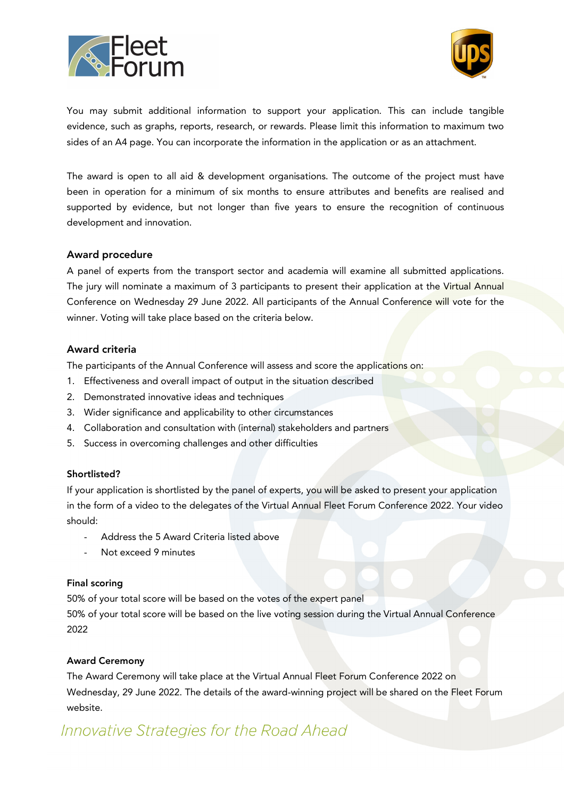



You may submit additional information to support your application. This can include tangible evidence, such as graphs, reports, research, or rewards. Please limit this information to maximum two sides of an A4 page. You can incorporate the information in the application or as an attachment.

The award is open to all aid & development organisations. The outcome of the project must have been in operation for a minimum of six months to ensure attributes and benefits are realised and supported by evidence, but not longer than five years to ensure the recognition of continuous development and innovation.

#### Award procedure

A panel of experts from the transport sector and academia will examine all submitted applications. The jury will nominate a maximum of 3 participants to present their application at the Virtual Annual Conference on Wednesday 29 June 2022. All participants of the Annual Conference will vote for the winner. Voting will take place based on the criteria below.

#### Award criteria

The participants of the Annual Conference will assess and score the applications on:

- 1. Effectiveness and overall impact of output in the situation described
- 2. Demonstrated innovative ideas and techniques
- 3. Wider significance and applicability to other circumstances
- 4. Collaboration and consultation with (internal) stakeholders and partners
- 5. Success in overcoming challenges and other difficulties

#### Shortlisted?

If your application is shortlisted by the panel of experts, you will be asked to present your application in the form of a video to the delegates of the Virtual Annual Fleet Forum Conference 2022. Your video should:

- Address the 5 Award Criteria listed above
- Not exceed 9 minutes

#### Final scoring

50% of your total score will be based on the votes of the expert panel

50% of your total score will be based on the live voting session during the Virtual Annual Conference 2022

### Award Ceremony

The Award Ceremony will take place at the Virtual Annual Fleet Forum Conference 2022 on Wednesday, 29 June 2022. The details of the award-winning project will be shared on the Fleet Forum website.

# Innovative Strategies for the Road Ahead